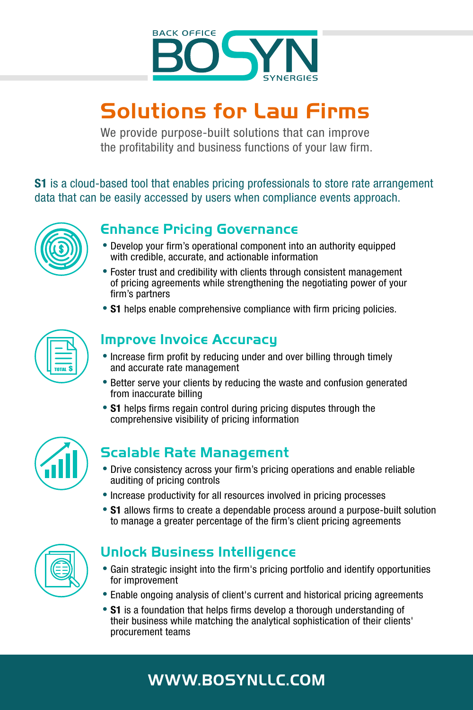

# **Solutions for Law Firms**

We provide purpose-built solutions that can improve the profitability and business functions of your law firm.

**S1** is a cloud-based tool that enables pricing professionals to store rate arrangement data that can be easily accessed by users when compliance events approach.



# **Enhance Pricing Governance**

- **•**Develop your firm's operational component into an authority equipped with credible, accurate, and actionable information
- **•**Foster trust and credibility with clients through consistent management of pricing agreements while strengthening the negotiating power of your firm's partners
- **S1** helps enable comprehensive compliance with firm pricing policies.



## **Improve Invoice Accuracy**

- **•**Increase firm profit by reducing under and over billing through timely and accurate rate management
- **•**Better serve your clients by reducing the waste and confusion generated from inaccurate billing
- **S1** helps firms regain control during pricing disputes through the comprehensive visibility of pricing information



# **Scalable Rate Management**

- **•**Drive consistency across your firm's pricing operations and enable reliable auditing of pricing controls
- **•**Increase productivity for all resources involved in pricing processes
- **S1** allows firms to create a dependable process around a purpose-built solution to manage a greater percentage of the firm's client pricing agreements



# **Unlock Business Intelligence**

- **•**Gain strategic insight into the firm's pricing portfolio and identify opportunities for improvement
- **•**Enable ongoing analysis of client's current and historical pricing agreements
- **•**S1 is a foundation that helps firms develop a thorough understanding of their business while matching the analytical sophistication of their clients' procurement teams

# **WWW.BOSYNLLC.COM**